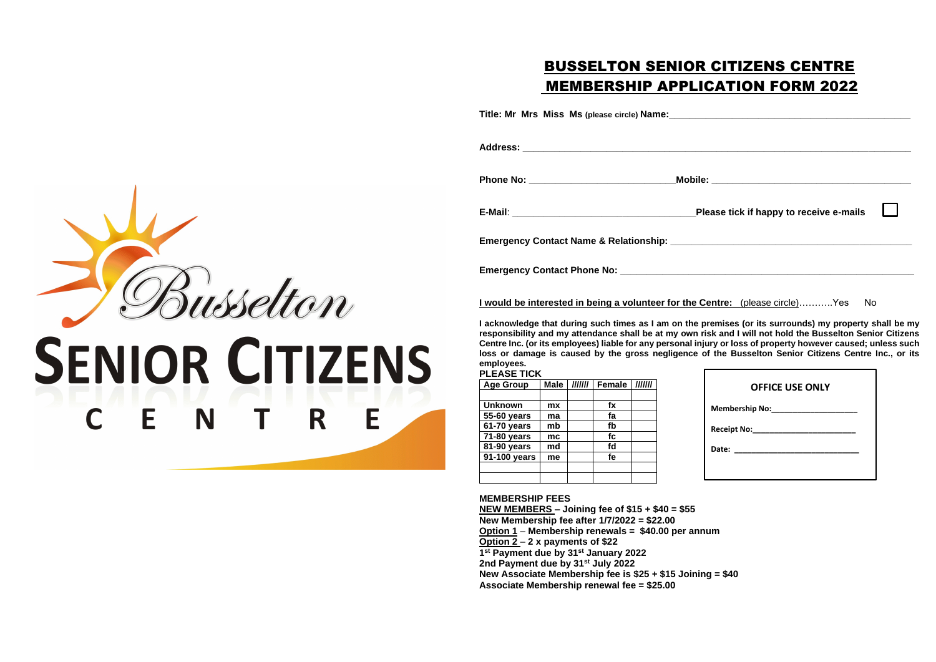# BUSSELTON SENIOR CITIZENS CENTRE MEMBERSHIP APPLICATION FORM 2022

**Title: Mr Mrs Miss Ms (please circle) Name:\_\_\_\_\_\_\_\_\_\_\_\_\_\_\_\_\_\_\_\_\_\_\_\_\_\_\_\_\_\_\_\_\_\_\_\_\_\_\_\_\_\_\_\_\_\_**

usselton **SENIOR CITIZENS** N E E R

**Address: \_\_\_\_\_\_\_\_\_\_\_\_\_\_\_\_\_\_\_\_\_\_\_\_\_\_\_\_\_\_\_\_\_\_\_\_\_\_\_\_\_\_\_\_\_\_\_\_\_\_\_\_\_\_\_\_\_\_\_\_\_\_\_\_\_\_\_\_\_\_\_\_\_\_ Phone No: \_\_\_\_\_\_\_\_\_\_\_\_\_\_\_\_\_\_\_\_\_\_\_\_\_\_\_\_Mobile: \_\_\_\_\_\_\_\_\_\_\_\_\_\_\_\_\_\_\_\_\_\_\_\_\_\_\_\_\_\_\_\_\_\_\_\_\_\_ E-Mail**: **\_\_\_\_\_\_\_\_\_\_\_\_\_\_\_\_\_\_\_\_\_\_\_\_\_\_\_\_\_\_\_\_\_\_\_Please tick if happy to receive e-mails**

**Emergency Contact Name & Relationship: \_\_\_\_\_\_\_\_\_\_\_\_\_\_\_\_\_\_\_\_\_\_\_\_\_\_\_\_\_\_\_\_\_\_\_\_\_\_\_\_\_\_\_\_\_\_**

**Emergency Contact Phone No: \_\_\_\_\_\_\_\_\_\_\_\_\_\_\_\_\_\_\_\_\_\_\_\_\_\_\_\_\_\_\_\_\_\_\_\_\_\_\_\_\_\_\_\_\_\_\_\_\_\_\_\_\_\_\_\_**

I would be interested in being a volunteer for the Co

**I acknowledge that during such times as I am on the property** responsibility and my attendance shall be at my own risk **Centre Inc. (or its employees) liable for any personal injury or loss of property however caused; unless such loss or damage is caused by the gross negligence of the Busselton Senior Citizens Centre Inc., or its employees.**

| <b>Age Group</b> | <b>Male</b> | IIIIII | <b>Female</b> | IIIIII |
|------------------|-------------|--------|---------------|--------|
|                  |             |        |               |        |
| <b>Unknown</b>   | mx          |        | fx            |        |
| 55-60 years      | ma          |        | fa            |        |
| 61-70 years      | mb          |        | fb            |        |
| 71-80 years      | mc          |        | fc            |        |
| 81-90 years      | md          |        | fd            |        |
| 91-100 years     | me          |        | fe            |        |
|                  |             |        |               |        |
|                  |             |        |               |        |

#### **MEMBERSHIP FEES**

**NEW MEMBERS – Joining fee of \$15 + \$40 = \$55 New Membership fee after 1/7/2022 = \$22.00 Option 1** – **Membership renewals = \$40.00 per annum Option 2** – **2 x payments of \$22 1 st Payment due by 31st January 2022 2nd Payment due by 31st July 2022 New Associate Membership fee is \$25 + \$15 Joining = \$40 Associate Membership renewal fee = \$25.00**

| ease tick if happy to receive e-mails                                                                                                                                                                                     |  |
|---------------------------------------------------------------------------------------------------------------------------------------------------------------------------------------------------------------------------|--|
|                                                                                                                                                                                                                           |  |
| entre: (please circle)Yes No                                                                                                                                                                                              |  |
| remises (or its surrounds) my property shall be my<br>sk and I will not hold the Busselton Senior Citizens<br>ury or loss of property however caused; unless sucl<br>of the Busselton Senior Citizens Centre Inc., or its |  |
| <b>OFFICE USE ONLY</b>                                                                                                                                                                                                    |  |
| Membership No:_____________________                                                                                                                                                                                       |  |
|                                                                                                                                                                                                                           |  |
| Date:<br>_____________________________                                                                                                                                                                                    |  |